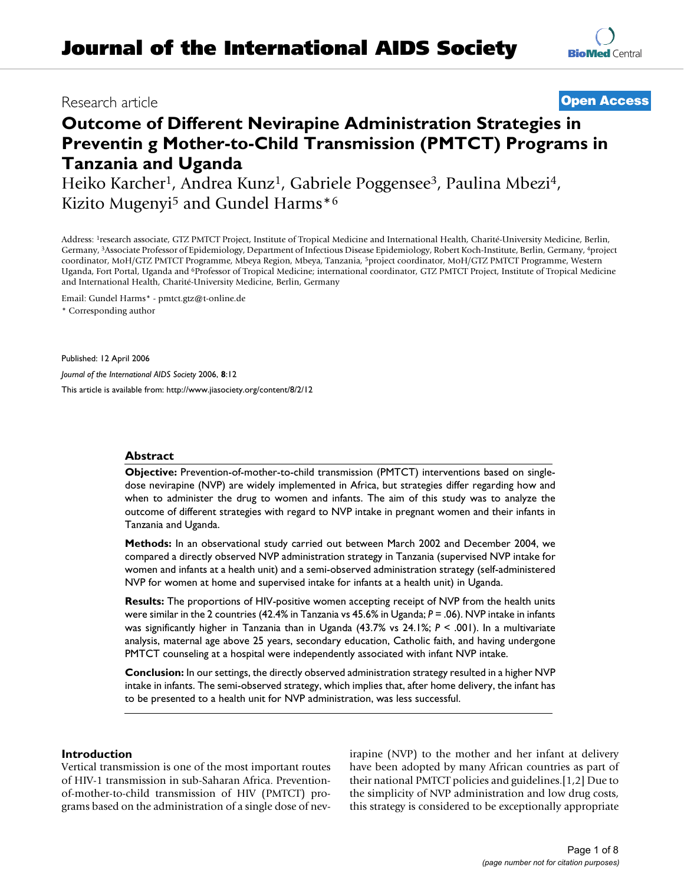# Research article **[Open Access](http://www.biomedcentral.com/info/about/charter/)**

# **Outcome of Different Nevirapine Administration Strategies in Preventin g Mother-to-Child Transmission (PMTCT) Programs in Tanzania and Uganda**

Heiko Karcher<sup>1</sup>, Andrea Kunz<sup>1</sup>, Gabriele Poggensee<sup>3</sup>, Paulina Mbezi<sup>4</sup>, Kizito Mugenyi<sup>5</sup> and Gundel Harms<sup>\*6</sup>

Address: 1research associate, GTZ PMTCT Project, Institute of Tropical Medicine and International Health, Charité-University Medicine, Berlin, Germany, 3Associate Professor of Epidemiology, Department of Infectious Disease Epidemiology, Robert Koch-Institute, Berlin, Germany, 4project coordinator, MoH/GTZ PMTCT Programme, Mbeya Region, Mbeya, Tanzania, 5project coordinator, MoH/GTZ PMTCT Programme, Western Uganda, Fort Portal, Uganda and 6Professor of Tropical Medicine; international coordinator, GTZ PMTCT Project, Institute of Tropical Medicine and International Health, Charité-University Medicine, Berlin, Germany

Email: Gundel Harms\* - pmtct.gtz@t-online.de

\* Corresponding author

Published: 12 April 2006

*Journal of the International AIDS Society* 2006, **8**:12

[This article is available from: http://www.jiasociety.org/content/8/2/12](http://www.jiasociety.org/content/8/2/12)

## **Abstract**

**Objective:** Prevention-of-mother-to-child transmission (PMTCT) interventions based on singledose nevirapine (NVP) are widely implemented in Africa, but strategies differ regarding how and when to administer the drug to women and infants. The aim of this study was to analyze the outcome of different strategies with regard to NVP intake in pregnant women and their infants in Tanzania and Uganda.

**Methods:** In an observational study carried out between March 2002 and December 2004, we compared a directly observed NVP administration strategy in Tanzania (supervised NVP intake for women and infants at a health unit) and a semi-observed administration strategy (self-administered NVP for women at home and supervised intake for infants at a health unit) in Uganda.

**Results:** The proportions of HIV-positive women accepting receipt of NVP from the health units were similar in the 2 countries (42.4% in Tanzania vs 45.6% in Uganda; *P* = .06). NVP intake in infants was significantly higher in Tanzania than in Uganda (43.7% vs 24.1%; *P* < .001). In a multivariate analysis, maternal age above 25 years, secondary education, Catholic faith, and having undergone PMTCT counseling at a hospital were independently associated with infant NVP intake.

**Conclusion:** In our settings, the directly observed administration strategy resulted in a higher NVP intake in infants. The semi-observed strategy, which implies that, after home delivery, the infant has to be presented to a health unit for NVP administration, was less successful.

## **Introduction**

Vertical transmission is one of the most important routes of HIV-1 transmission in sub-Saharan Africa. Preventionof-mother-to-child transmission of HIV (PMTCT) programs based on the administration of a single dose of nevirapine (NVP) to the mother and her infant at delivery have been adopted by many African countries as part of their national PMTCT policies and guidelines.[1,2] Due to the simplicity of NVP administration and low drug costs, this strategy is considered to be exceptionally appropriate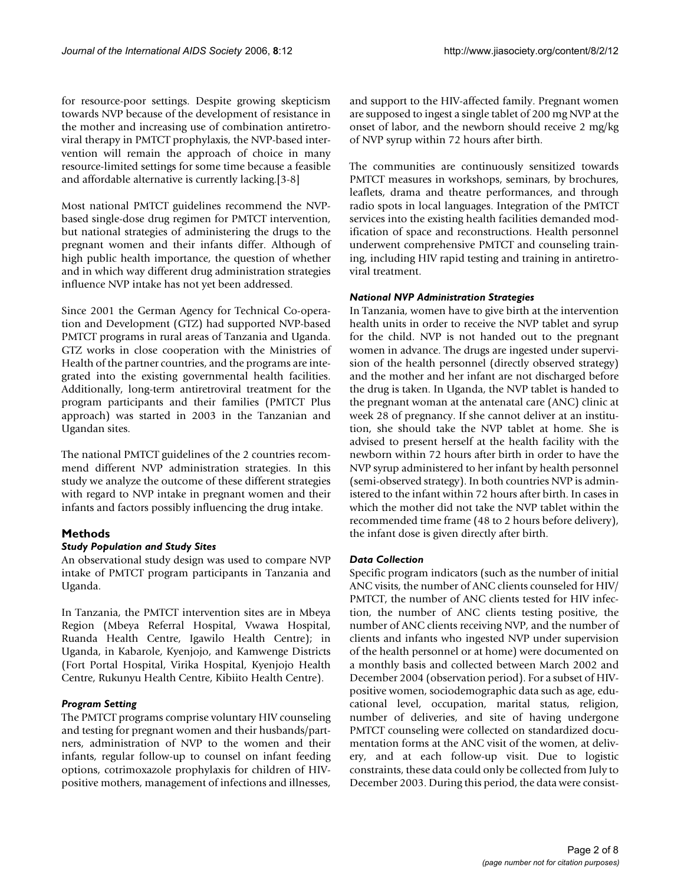for resource-poor settings. Despite growing skepticism towards NVP because of the development of resistance in the mother and increasing use of combination antiretroviral therapy in PMTCT prophylaxis, the NVP-based intervention will remain the approach of choice in many resource-limited settings for some time because a feasible and affordable alternative is currently lacking.[3-8]

Most national PMTCT guidelines recommend the NVPbased single-dose drug regimen for PMTCT intervention, but national strategies of administering the drugs to the pregnant women and their infants differ. Although of high public health importance, the question of whether and in which way different drug administration strategies influence NVP intake has not yet been addressed.

Since 2001 the German Agency for Technical Co-operation and Development (GTZ) had supported NVP-based PMTCT programs in rural areas of Tanzania and Uganda. GTZ works in close cooperation with the Ministries of Health of the partner countries, and the programs are integrated into the existing governmental health facilities. Additionally, long-term antiretroviral treatment for the program participants and their families (PMTCT Plus approach) was started in 2003 in the Tanzanian and Ugandan sites.

The national PMTCT guidelines of the 2 countries recommend different NVP administration strategies. In this study we analyze the outcome of these different strategies with regard to NVP intake in pregnant women and their infants and factors possibly influencing the drug intake.

# **Methods**

# *Study Population and Study Sites*

An observational study design was used to compare NVP intake of PMTCT program participants in Tanzania and Uganda.

In Tanzania, the PMTCT intervention sites are in Mbeya Region (Mbeya Referral Hospital, Vwawa Hospital, Ruanda Health Centre, Igawilo Health Centre); in Uganda, in Kabarole, Kyenjojo, and Kamwenge Districts (Fort Portal Hospital, Virika Hospital, Kyenjojo Health Centre, Rukunyu Health Centre, Kibiito Health Centre).

## *Program Setting*

The PMTCT programs comprise voluntary HIV counseling and testing for pregnant women and their husbands/partners, administration of NVP to the women and their infants, regular follow-up to counsel on infant feeding options, cotrimoxazole prophylaxis for children of HIVpositive mothers, management of infections and illnesses,

and support to the HIV-affected family. Pregnant women are supposed to ingest a single tablet of 200 mg NVP at the onset of labor, and the newborn should receive 2 mg/kg of NVP syrup within 72 hours after birth.

The communities are continuously sensitized towards PMTCT measures in workshops, seminars, by brochures, leaflets, drama and theatre performances, and through radio spots in local languages. Integration of the PMTCT services into the existing health facilities demanded modification of space and reconstructions. Health personnel underwent comprehensive PMTCT and counseling training, including HIV rapid testing and training in antiretroviral treatment.

# *National NVP Administration Strategies*

In Tanzania, women have to give birth at the intervention health units in order to receive the NVP tablet and syrup for the child. NVP is not handed out to the pregnant women in advance. The drugs are ingested under supervision of the health personnel (directly observed strategy) and the mother and her infant are not discharged before the drug is taken. In Uganda, the NVP tablet is handed to the pregnant woman at the antenatal care (ANC) clinic at week 28 of pregnancy. If she cannot deliver at an institution, she should take the NVP tablet at home. She is advised to present herself at the health facility with the newborn within 72 hours after birth in order to have the NVP syrup administered to her infant by health personnel (semi-observed strategy). In both countries NVP is administered to the infant within 72 hours after birth. In cases in which the mother did not take the NVP tablet within the recommended time frame (48 to 2 hours before delivery), the infant dose is given directly after birth.

## *Data Collection*

Specific program indicators (such as the number of initial ANC visits, the number of ANC clients counseled for HIV/ PMTCT, the number of ANC clients tested for HIV infection, the number of ANC clients testing positive, the number of ANC clients receiving NVP, and the number of clients and infants who ingested NVP under supervision of the health personnel or at home) were documented on a monthly basis and collected between March 2002 and December 2004 (observation period). For a subset of HIVpositive women, sociodemographic data such as age, educational level, occupation, marital status, religion, number of deliveries, and site of having undergone PMTCT counseling were collected on standardized documentation forms at the ANC visit of the women, at delivery, and at each follow-up visit. Due to logistic constraints, these data could only be collected from July to December 2003. During this period, the data were consist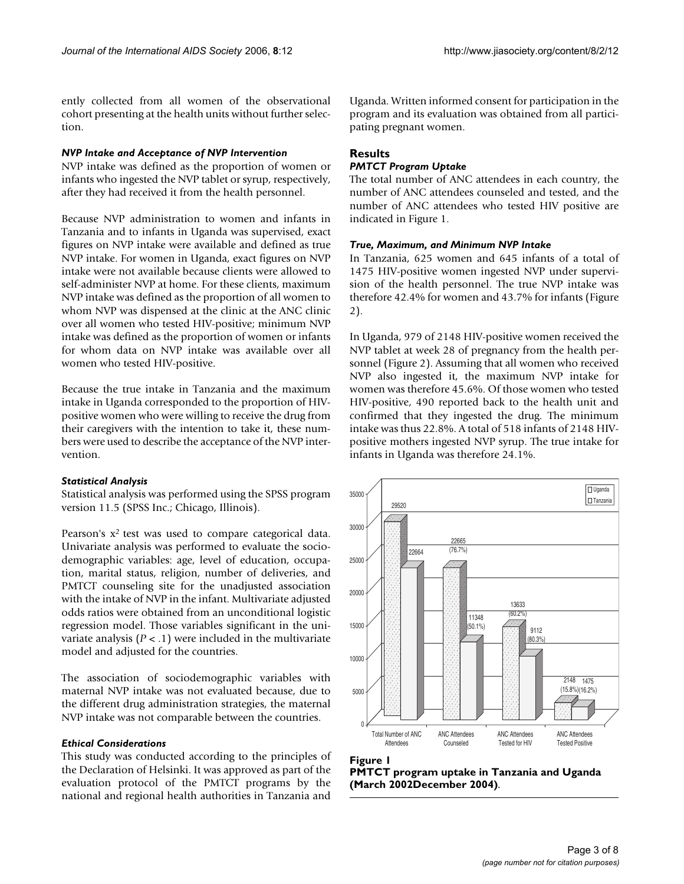ently collected from all women of the observational cohort presenting at the health units without further selection.

# *NVP Intake and Acceptance of NVP Intervention*

NVP intake was defined as the proportion of women or infants who ingested the NVP tablet or syrup, respectively, after they had received it from the health personnel.

Because NVP administration to women and infants in Tanzania and to infants in Uganda was supervised, exact figures on NVP intake were available and defined as true NVP intake. For women in Uganda, exact figures on NVP intake were not available because clients were allowed to self-administer NVP at home. For these clients, maximum NVP intake was defined as the proportion of all women to whom NVP was dispensed at the clinic at the ANC clinic over all women who tested HIV-positive; minimum NVP intake was defined as the proportion of women or infants for whom data on NVP intake was available over all women who tested HIV-positive.

Because the true intake in Tanzania and the maximum intake in Uganda corresponded to the proportion of HIVpositive women who were willing to receive the drug from their caregivers with the intention to take it, these numbers were used to describe the acceptance of the NVP intervention.

#### *Statistical Analysis*

Statistical analysis was performed using the SPSS program version 11.5 (SPSS Inc.; Chicago, Illinois).

Pearson's x2 test was used to compare categorical data. Univariate analysis was performed to evaluate the sociodemographic variables: age, level of education, occupation, marital status, religion, number of deliveries, and PMTCT counseling site for the unadjusted association with the intake of NVP in the infant. Multivariate adjusted odds ratios were obtained from an unconditional logistic regression model. Those variables significant in the univariate analysis (*P* < .1) were included in the multivariate model and adjusted for the countries.

The association of sociodemographic variables with maternal NVP intake was not evaluated because, due to the different drug administration strategies, the maternal NVP intake was not comparable between the countries.

#### *Ethical Considerations*

This study was conducted according to the principles of the Declaration of Helsinki. It was approved as part of the evaluation protocol of the PMTCT programs by the national and regional health authorities in Tanzania and Uganda. Written informed consent for participation in the program and its evaluation was obtained from all participating pregnant women.

#### **Results**

# *PMTCT Program Uptake*

The total number of ANC attendees in each country, the number of ANC attendees counseled and tested, and the number of ANC attendees who tested HIV positive are indicated in Figure 1.

#### *True, Maximum, and Minimum NVP Intake*

In Tanzania, 625 women and 645 infants of a total of 1475 HIV-positive women ingested NVP under supervision of the health personnel. The true NVP intake was therefore 42.4% for women and 43.7% for infants (Figure 2).

In Uganda, 979 of 2148 HIV-positive women received the NVP tablet at week 28 of pregnancy from the health personnel (Figure 2). Assuming that all women who received NVP also ingested it, the maximum NVP intake for women was therefore 45.6%. Of those women who tested HIV-positive, 490 reported back to the health unit and confirmed that they ingested the drug. The minimum intake was thus 22.8%. A total of 518 infants of 2148 HIVpositive mothers ingested NVP syrup. The true intake for infants in Uganda was therefore 24.1%.



**Figure I PMTCT program uptake in Tanzania and Uganda (March 2002December 2004)**.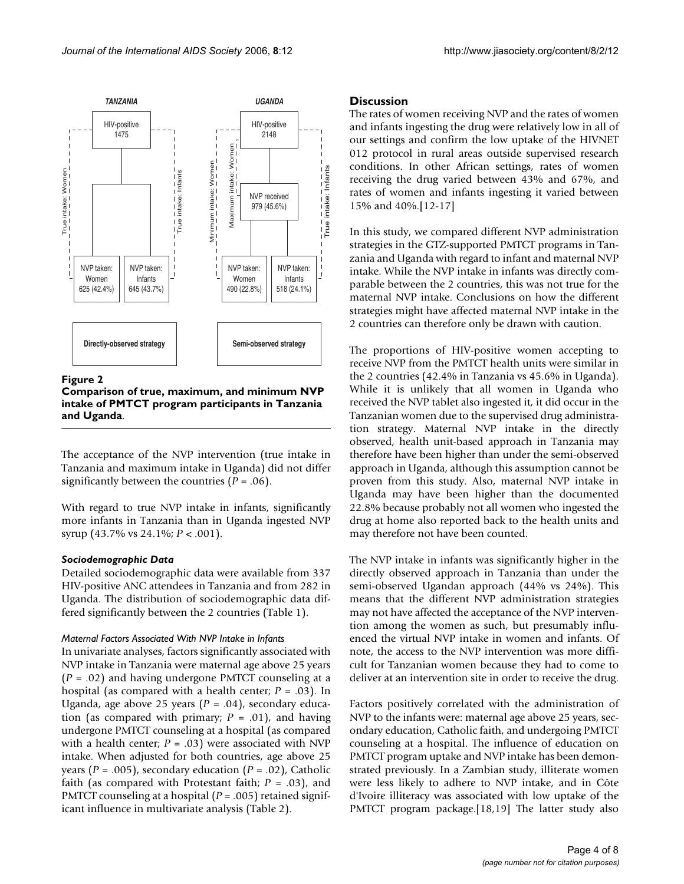

Figure 2

**Comparison of true, maximum, and minimum NVP intake of PMTCT program participants in Tanzania and Uganda**.

The acceptance of the NVP intervention (true intake in Tanzania and maximum intake in Uganda) did not differ significantly between the countries (*P* = .06).

With regard to true NVP intake in infants, significantly more infants in Tanzania than in Uganda ingested NVP syrup (43.7% vs 24.1%; *P* < .001).

## *Sociodemographic Data*

Detailed sociodemographic data were available from 337 HIV-positive ANC attendees in Tanzania and from 282 in Uganda. The distribution of sociodemographic data differed significantly between the 2 countries (Table 1).

## *Maternal Factors Associated With NVP Intake in Infants*

In univariate analyses, factors significantly associated with NVP intake in Tanzania were maternal age above 25 years (*P* = .02) and having undergone PMTCT counseling at a hospital (as compared with a health center; *P* = .03). In Uganda, age above 25 years (*P* = .04), secondary education (as compared with primary; *P* = .01), and having undergone PMTCT counseling at a hospital (as compared with a health center;  $P = .03$ ) were associated with NVP intake. When adjusted for both countries, age above 25 years (*P* = .005), secondary education (*P* = .02), Catholic faith (as compared with Protestant faith; *P* = .03), and PMTCT counseling at a hospital (*P* = .005) retained significant influence in multivariate analysis (Table 2).

# **Discussion**

The rates of women receiving NVP and the rates of women and infants ingesting the drug were relatively low in all of our settings and confirm the low uptake of the HIVNET 012 protocol in rural areas outside supervised research conditions. In other African settings, rates of women receiving the drug varied between 43% and 67%, and rates of women and infants ingesting it varied between 15% and 40%.[12-17]

In this study, we compared different NVP administration strategies in the GTZ-supported PMTCT programs in Tanzania and Uganda with regard to infant and maternal NVP intake. While the NVP intake in infants was directly comparable between the 2 countries, this was not true for the maternal NVP intake. Conclusions on how the different strategies might have affected maternal NVP intake in the 2 countries can therefore only be drawn with caution.

The proportions of HIV-positive women accepting to receive NVP from the PMTCT health units were similar in the 2 countries (42.4% in Tanzania vs 45.6% in Uganda). While it is unlikely that all women in Uganda who received the NVP tablet also ingested it, it did occur in the Tanzanian women due to the supervised drug administration strategy. Maternal NVP intake in the directly observed, health unit-based approach in Tanzania may therefore have been higher than under the semi-observed approach in Uganda, although this assumption cannot be proven from this study. Also, maternal NVP intake in Uganda may have been higher than the documented 22.8% because probably not all women who ingested the drug at home also reported back to the health units and may therefore not have been counted.

The NVP intake in infants was significantly higher in the directly observed approach in Tanzania than under the semi-observed Ugandan approach (44% vs 24%). This means that the different NVP administration strategies may not have affected the acceptance of the NVP intervention among the women as such, but presumably influenced the virtual NVP intake in women and infants. Of note, the access to the NVP intervention was more difficult for Tanzanian women because they had to come to deliver at an intervention site in order to receive the drug.

Factors positively correlated with the administration of NVP to the infants were: maternal age above 25 years, secondary education, Catholic faith, and undergoing PMTCT counseling at a hospital. The influence of education on PMTCT program uptake and NVP intake has been demonstrated previously. In a Zambian study, illiterate women were less likely to adhere to NVP intake, and in Côte d'Ivoire illiteracy was associated with low uptake of the PMTCT program package.[18,19] The latter study also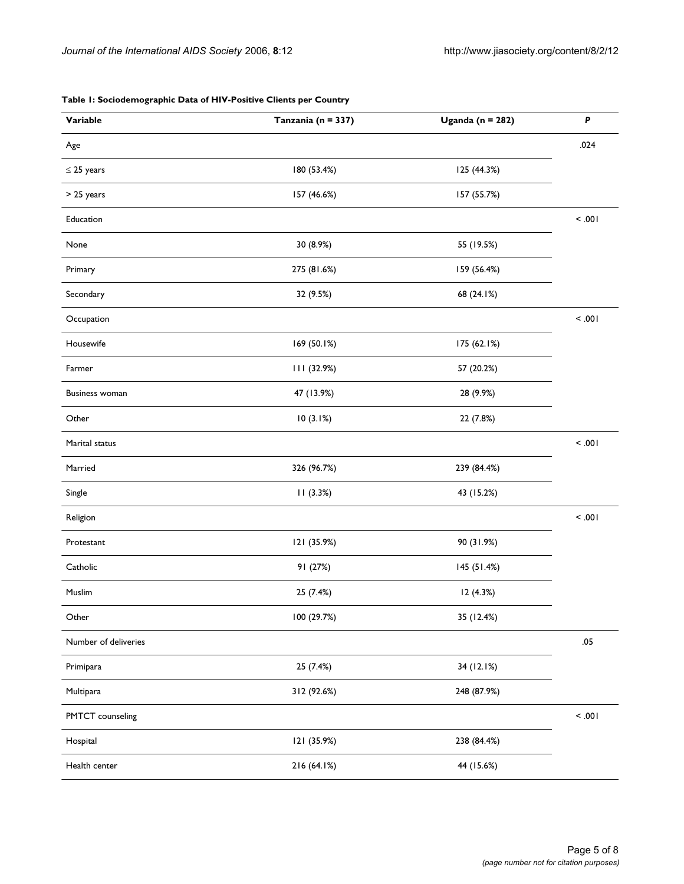| ັ<br>. .              |                    |                  |        |
|-----------------------|--------------------|------------------|--------|
| Variable              | Tanzania (n = 337) | Uganda (n = 282) | P      |
| Age                   |                    |                  | .024   |
| $\leq$ 25 years       | 180 (53.4%)        | 125 (44.3%)      |        |
| > 25 years            | 157 (46.6%)        | 157 (55.7%)      |        |
| Education             |                    |                  | < 0.01 |
| None                  | 30 (8.9%)          | 55 (19.5%)       |        |
| Primary               | 275 (81.6%)        | 159 (56.4%)      |        |
| Secondary             | 32 (9.5%)          | 68 (24.1%)       |        |
| Occupation            |                    |                  | < 0.01 |
| Housewife             | 169 (50.1%)        | 175 (62.1%)      |        |
| Farmer                | 111 (32.9%)        | 57 (20.2%)       |        |
| <b>Business woman</b> | 47 (13.9%)         | 28 (9.9%)        |        |
| Other                 | 10(3.1%)           | 22 (7.8%)        |        |
| Marital status        |                    |                  | < 0.01 |
| Married               | 326 (96.7%)        | 239 (84.4%)      |        |
| Single                | 11(3.3%)           | 43 (15.2%)       |        |
| Religion              |                    |                  | 100.   |
| Protestant            | 121 (35.9%)        | 90 (31.9%)       |        |
| Catholic              | 91 (27%)           | 145 (51.4%)      |        |
| Muslim                | 25 (7.4%)          | 12 (4.3%)        |        |
| Other                 | 100 (29.7%)        | 35 (12.4%)       |        |
| Number of deliveries  |                    |                  | .05    |
| Primipara             | 25 (7.4%)          | 34 (12.1%)       |        |
| Multipara             | 312 (92.6%)        | 248 (87.9%)      |        |
| PMTCT counseling      |                    |                  | 100.   |
| Hospital              | 121 (35.9%)        | 238 (84.4%)      |        |
| Health center         | 216 (64.1%)        | 44 (15.6%)       |        |

#### **Table 1: Sociodemographic Data of HIV-Positive Clients per Country**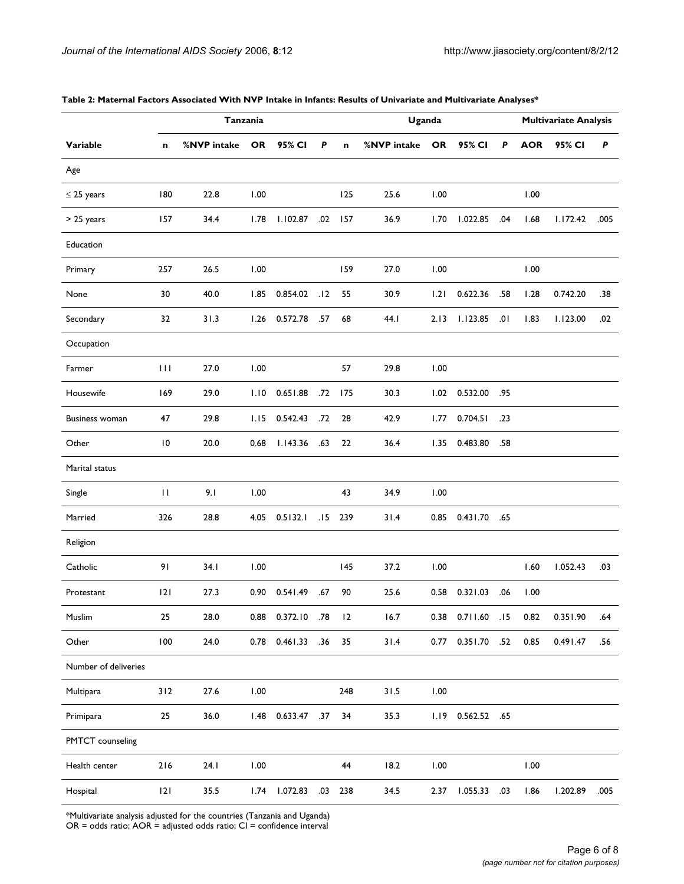|                       | Tanzania     |             |           |          | Uganda  |     |             |           | <b>Multivariate Analysis</b> |     |            |          |      |
|-----------------------|--------------|-------------|-----------|----------|---------|-----|-------------|-----------|------------------------------|-----|------------|----------|------|
| Variable              | n            | %NVP intake | <b>OR</b> | 95% CI   | Ρ       | n   | %NVP intake | <b>OR</b> | 95% CI                       | P   | <b>AOR</b> | 95% CI   | P    |
| Age                   |              |             |           |          |         |     |             |           |                              |     |            |          |      |
| $\leq$ 25 years       | 180          | 22.8        | 1.00      |          |         | 125 | 25.6        | 1.00      |                              |     | 1.00       |          |      |
| > 25 years            | 157          | 34.4        | 1.78      | 1.102.87 | .02     | 157 | 36.9        | 1.70      | 1.022.85                     | .04 | 1.68       | 1.172.42 | .005 |
| Education             |              |             |           |          |         |     |             |           |                              |     |            |          |      |
| Primary               | 257          | 26.5        | 1.00      |          |         | 159 | 27.0        | 1.00      |                              |     | 1.00       |          |      |
| None                  | 30           | 40.0        | 1.85      | 0.854.02 | .12     | 55  | 30.9        | 1.21      | 0.622.36                     | .58 | 1.28       | 0.742.20 | .38  |
| Secondary             | 32           | 31.3        | 1.26      | 0.572.78 | .57     | 68  | 44. I       | 2.13      | 1.123.85                     | ا0. | 1.83       | 1.123.00 | .02  |
| Occupation            |              |             |           |          |         |     |             |           |                              |     |            |          |      |
| Farmer                | 111          | 27.0        | 1.00      |          |         | 57  | 29.8        | 1.00      |                              |     |            |          |      |
| Housewife             | 169          | 29.0        | 1.10      | 0.651.88 | .72     | 175 | 30.3        | 1.02      | 0.532.00                     | .95 |            |          |      |
| <b>Business woman</b> | 47           | 29.8        | 1.15      | 0.542.43 | .72     | 28  | 42.9        | 1.77      | 0.704.51                     | .23 |            |          |      |
| Other                 | $\,$ l $\,$  | 20.0        | 0.68      | 1.143.36 | .63     | 22  | 36.4        | 1.35      | 0.483.80                     | .58 |            |          |      |
| Marital status        |              |             |           |          |         |     |             |           |                              |     |            |          |      |
| Single                | $\mathbf{H}$ | 9.1         | 1.00      |          |         | 43  | 34.9        | 1.00      |                              |     |            |          |      |
| Married               | 326          | 28.8        | 4.05      | 0.5132.1 | $.15 -$ | 239 | 31.4        | 0.85      | 0.431.70                     | .65 |            |          |      |
| Religion              |              |             |           |          |         |     |             |           |                              |     |            |          |      |
| Catholic              | 91           | 34.1        | 1.00      |          |         | 145 | 37.2        | 1.00      |                              |     | 1.60       | 1.052.43 | .03  |
| Protestant            | 2            | 27.3        | 0.90      | 0.541.49 | .67     | 90  | 25.6        | 0.58      | 0.321.03                     | .06 | 1.00       |          |      |
| Muslim                | 25           | 28.0        | 0.88      | 0.372.10 | .78     | 12  | 16.7        | 0.38      | 0.711.60                     | .15 | 0.82       | 0.351.90 | .64  |
| Other                 | 100          | 24.0        | 0.78      | 0.461.33 | .36     | 35  | 31.4        | 0.77      | 0.351.70                     | .52 | 0.85       | 0.491.47 | .56  |
| Number of deliveries  |              |             |           |          |         |     |             |           |                              |     |            |          |      |
| Multipara             | 312          | 27.6        | 1.00      |          |         | 248 | 31.5        | 1.00      |                              |     |            |          |      |
| Primipara             | 25           | 36.0        | 1.48      | 0.633.47 | .37     | 34  | 35.3        | 1.19      | 0.562.52                     | .65 |            |          |      |
| PMTCT counseling      |              |             |           |          |         |     |             |           |                              |     |            |          |      |
| Health center         | 216          | 24.1        | 1.00      |          |         | 44  | 18.2        | 1.00      |                              |     | 1.00       |          |      |
| Hospital              | 2            | 35.5        | 1.74      | 1.072.83 | .03     | 238 | 34.5        | 2.37      | 1.055.33                     | .03 | 1.86       | 1.202.89 | .005 |

#### **Table 2: Maternal Factors Associated With NVP Intake in Infants: Results of Univariate and Multivariate Analyses\***

\*Multivariate analysis adjusted for the countries (Tanzania and Uganda) OR = odds ratio; AOR = adjusted odds ratio; CI = confidence interval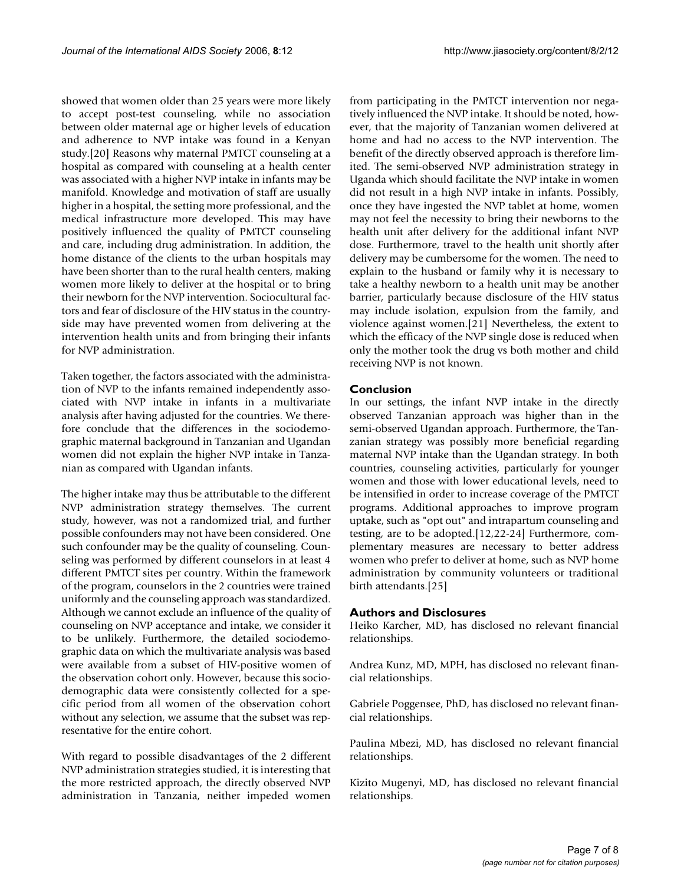showed that women older than 25 years were more likely to accept post-test counseling, while no association between older maternal age or higher levels of education and adherence to NVP intake was found in a Kenyan study.[20] Reasons why maternal PMTCT counseling at a hospital as compared with counseling at a health center was associated with a higher NVP intake in infants may be manifold. Knowledge and motivation of staff are usually higher in a hospital, the setting more professional, and the medical infrastructure more developed. This may have positively influenced the quality of PMTCT counseling and care, including drug administration. In addition, the home distance of the clients to the urban hospitals may have been shorter than to the rural health centers, making women more likely to deliver at the hospital or to bring their newborn for the NVP intervention. Sociocultural factors and fear of disclosure of the HIV status in the countryside may have prevented women from delivering at the intervention health units and from bringing their infants for NVP administration.

Taken together, the factors associated with the administration of NVP to the infants remained independently associated with NVP intake in infants in a multivariate analysis after having adjusted for the countries. We therefore conclude that the differences in the sociodemographic maternal background in Tanzanian and Ugandan women did not explain the higher NVP intake in Tanzanian as compared with Ugandan infants.

The higher intake may thus be attributable to the different NVP administration strategy themselves. The current study, however, was not a randomized trial, and further possible confounders may not have been considered. One such confounder may be the quality of counseling. Counseling was performed by different counselors in at least 4 different PMTCT sites per country. Within the framework of the program, counselors in the 2 countries were trained uniformly and the counseling approach was standardized. Although we cannot exclude an influence of the quality of counseling on NVP acceptance and intake, we consider it to be unlikely. Furthermore, the detailed sociodemographic data on which the multivariate analysis was based were available from a subset of HIV-positive women of the observation cohort only. However, because this sociodemographic data were consistently collected for a specific period from all women of the observation cohort without any selection, we assume that the subset was representative for the entire cohort.

With regard to possible disadvantages of the 2 different NVP administration strategies studied, it is interesting that the more restricted approach, the directly observed NVP administration in Tanzania, neither impeded women from participating in the PMTCT intervention nor negatively influenced the NVP intake. It should be noted, however, that the majority of Tanzanian women delivered at home and had no access to the NVP intervention. The benefit of the directly observed approach is therefore limited. The semi-observed NVP administration strategy in Uganda which should facilitate the NVP intake in women did not result in a high NVP intake in infants. Possibly, once they have ingested the NVP tablet at home, women may not feel the necessity to bring their newborns to the health unit after delivery for the additional infant NVP dose. Furthermore, travel to the health unit shortly after delivery may be cumbersome for the women. The need to explain to the husband or family why it is necessary to take a healthy newborn to a health unit may be another barrier, particularly because disclosure of the HIV status may include isolation, expulsion from the family, and violence against women.[21] Nevertheless, the extent to which the efficacy of the NVP single dose is reduced when only the mother took the drug vs both mother and child receiving NVP is not known.

## **Conclusion**

In our settings, the infant NVP intake in the directly observed Tanzanian approach was higher than in the semi-observed Ugandan approach. Furthermore, the Tanzanian strategy was possibly more beneficial regarding maternal NVP intake than the Ugandan strategy. In both countries, counseling activities, particularly for younger women and those with lower educational levels, need to be intensified in order to increase coverage of the PMTCT programs. Additional approaches to improve program uptake, such as "opt out" and intrapartum counseling and testing, are to be adopted.[12,22-24] Furthermore, complementary measures are necessary to better address women who prefer to deliver at home, such as NVP home administration by community volunteers or traditional birth attendants.[25]

## **Authors and Disclosures**

Heiko Karcher, MD, has disclosed no relevant financial relationships.

Andrea Kunz, MD, MPH, has disclosed no relevant financial relationships.

Gabriele Poggensee, PhD, has disclosed no relevant financial relationships.

Paulina Mbezi, MD, has disclosed no relevant financial relationships.

Kizito Mugenyi, MD, has disclosed no relevant financial relationships.